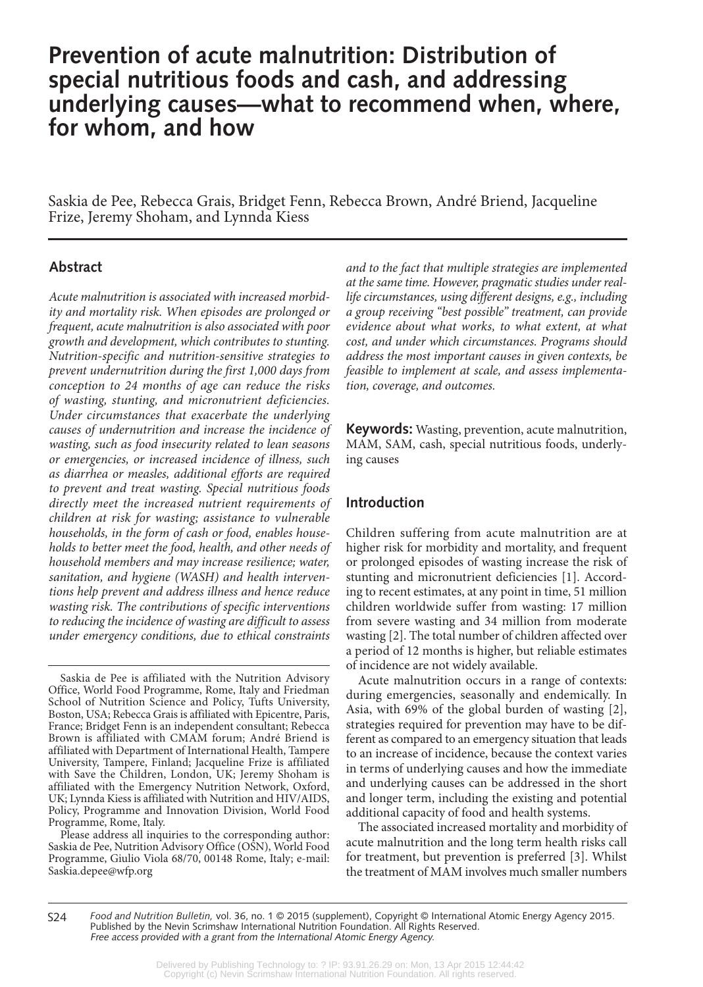# **Prevention of acute malnutrition: Distribution of special nutritious foods and cash, and addressing underlying causes—what to recommend when, where, for whom, and how**

Saskia de Pee, Rebecca Grais, Bridget Fenn, Rebecca Brown, André Briend, Jacqueline Frize, Jeremy Shoham, and Lynnda Kiess

## **Abstract**

*Acute malnutrition is associated with increased morbidity and mortality risk. When episodes are prolonged or frequent, acute malnutrition is also associated with poor growth and development, which contributes to stunting. Nutrition-specific and nutrition-sensitive strategies to prevent undernutrition during the first 1,000 days from conception to 24 months of age can reduce the risks of wasting, stunting, and micronutrient deficiencies. Under circumstances that exacerbate the underlying causes of undernutrition and increase the incidence of wasting, such as food insecurity related to lean seasons or emergencies, or increased incidence of illness, such as diarrhea or measles, additional efforts are required to prevent and treat wasting. Special nutritious foods directly meet the increased nutrient requirements of children at risk for wasting; assistance to vulnerable households, in the form of cash or food, enables households to better meet the food, health, and other needs of household members and may increase resilience; water, sanitation, and hygiene (WASH) and health interventions help prevent and address illness and hence reduce wasting risk. The contributions of specific interventions to reducing the incidence of wasting are difficult to assess under emergency conditions, due to ethical constraints* 

Please address all inquiries to the corresponding author: Saskia de Pee, Nutrition Advisory Office (OSN), World Food Programme, Giulio Viola 68/70, 00148 Rome, Italy; e-mail: Saskia.depee@wfp.org

*and to the fact that multiple strategies are implemented at the same time. However, pragmatic studies under reallife circumstances, using different designs, e.g., including a group receiving "best possible" treatment, can provide evidence about what works, to what extent, at what cost, and under which circumstances. Programs should address the most important causes in given contexts, be feasible to implement at scale, and assess implementation, coverage, and outcomes.*

**Keywords:** Wasting, prevention, acute malnutrition, MAM, SAM, cash, special nutritious foods, underlying causes

## **Introduction**

Children suffering from acute malnutrition are at higher risk for morbidity and mortality, and frequent or prolonged episodes of wasting increase the risk of stunting and micronutrient deficiencies [1]. According to recent estimates, at any point in time, 51 million children worldwide suffer from wasting: 17 million from severe wasting and 34 million from moderate wasting [2]. The total number of children affected over a period of 12 months is higher, but reliable estimates of incidence are not widely available.

Acute malnutrition occurs in a range of contexts: during emergencies, seasonally and endemically. In Asia, with 69% of the global burden of wasting [2], strategies required for prevention may have to be different as compared to an emergency situation that leads to an increase of incidence, because the context varies in terms of underlying causes and how the immediate and underlying causes can be addressed in the short and longer term, including the existing and potential additional capacity of food and health systems.

The associated increased mortality and morbidity of acute malnutrition and the long term health risks call for treatment, but prevention is preferred [3]. Whilst the treatment of MAM involves much smaller numbers

Saskia de Pee is affiliated with the Nutrition Advisory Office, World Food Programme, Rome, Italy and Friedman School of Nutrition Science and Policy, Tufts University, Boston, USA; Rebecca Grais is affiliated with Epicentre, Paris, France; Bridget Fenn is an independent consultant; Rebecca Brown is affiliated with CMAM forum; André Briend is affiliated with Department of International Health, Tampere University, Tampere, Finland; Jacqueline Frize is affiliated with Save the Children, London, UK; Jeremy Shoham is affiliated with the Emergency Nutrition Network, Oxford, UK; Lynnda Kiess is affiliated with Nutrition and HIV/AIDS, Policy, Programme and Innovation Division, World Food Programme, Rome, Italy.

S24 *Food and Nutrition Bulletin,* vol. 36, no. 1 © 2015 (supplement), Copyright © International Atomic Energy Agency 2015. Published by the Nevin Scrimshaw International Nutrition Foundation. All Rights Reserved. Free access provided with a grant from the International Atomic Energy Agency.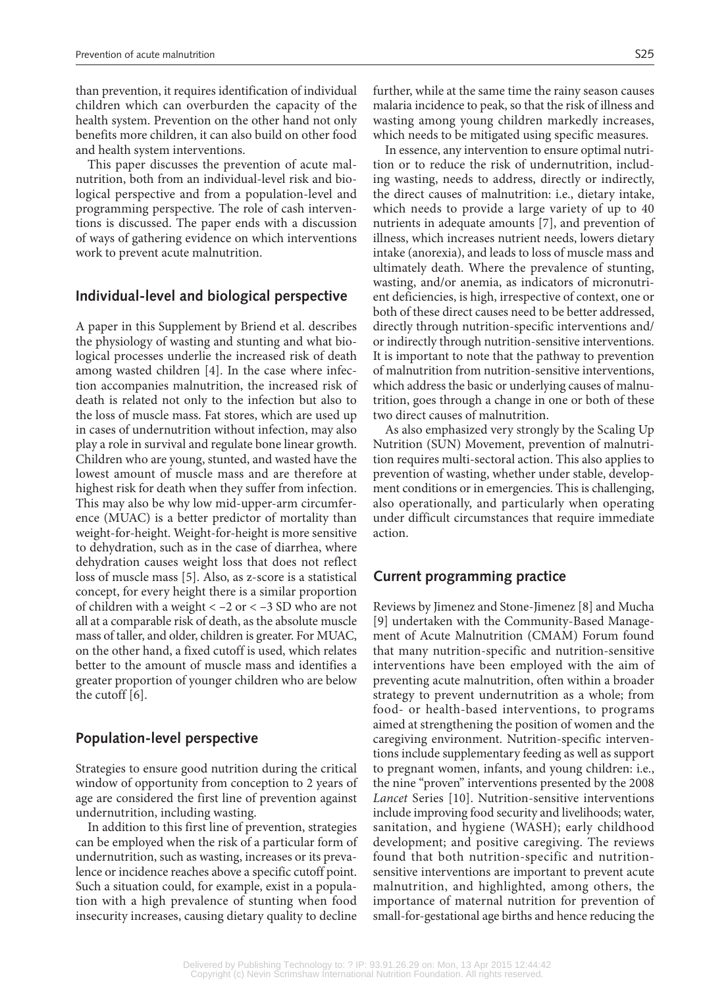than prevention, it requires identification of individual children which can overburden the capacity of the health system. Prevention on the other hand not only benefits more children, it can also build on other food and health system interventions.

This paper discusses the prevention of acute malnutrition, both from an individual-level risk and biological perspective and from a population-level and programming perspective. The role of cash interventions is discussed. The paper ends with a discussion of ways of gathering evidence on which interventions work to prevent acute malnutrition.

### **Individual-level and biological perspective**

A paper in this Supplement by Briend et al. describes the physiology of wasting and stunting and what biological processes underlie the increased risk of death among wasted children [4]. In the case where infection accompanies malnutrition, the increased risk of death is related not only to the infection but also to the loss of muscle mass. Fat stores, which are used up in cases of undernutrition without infection, may also play a role in survival and regulate bone linear growth. Children who are young, stunted, and wasted have the lowest amount of muscle mass and are therefore at highest risk for death when they suffer from infection. This may also be why low mid-upper-arm circumference (MUAC) is a better predictor of mortality than weight-for-height. Weight-for-height is more sensitive to dehydration, such as in the case of diarrhea, where dehydration causes weight loss that does not reflect loss of muscle mass [5]. Also, as z-score is a statistical concept, for every height there is a similar proportion of children with a weight  $<-2$  or  $<-3$  SD who are not all at a comparable risk of death, as the absolute muscle mass of taller, and older, children is greater. For MUAC, on the other hand, a fixed cutoff is used, which relates better to the amount of muscle mass and identifies a greater proportion of younger children who are below the cutoff [6].

#### **Population-level perspective**

Strategies to ensure good nutrition during the critical window of opportunity from conception to 2 years of age are considered the first line of prevention against undernutrition, including wasting.

In addition to this first line of prevention, strategies can be employed when the risk of a particular form of undernutrition, such as wasting, increases or its prevalence or incidence reaches above a specific cutoff point. Such a situation could, for example, exist in a population with a high prevalence of stunting when food insecurity increases, causing dietary quality to decline

further, while at the same time the rainy season causes malaria incidence to peak, so that the risk of illness and wasting among young children markedly increases, which needs to be mitigated using specific measures.

In essence, any intervention to ensure optimal nutrition or to reduce the risk of undernutrition, including wasting, needs to address, directly or indirectly, the direct causes of malnutrition: i.e., dietary intake, which needs to provide a large variety of up to 40 nutrients in adequate amounts [7], and prevention of illness, which increases nutrient needs, lowers dietary intake (anorexia), and leads to loss of muscle mass and ultimately death. Where the prevalence of stunting, wasting, and/or anemia, as indicators of micronutrient deficiencies, is high, irrespective of context, one or both of these direct causes need to be better addressed, directly through nutrition-specific interventions and/ or indirectly through nutrition-sensitive interventions. It is important to note that the pathway to prevention of malnutrition from nutrition-sensitive interventions, which address the basic or underlying causes of malnutrition, goes through a change in one or both of these two direct causes of malnutrition.

As also emphasized very strongly by the Scaling Up Nutrition (SUN) Movement, prevention of malnutrition requires multi-sectoral action. This also applies to prevention of wasting, whether under stable, development conditions or in emergencies. This is challenging, also operationally, and particularly when operating under difficult circumstances that require immediate action.

## **Current programming practice**

Reviews by Jimenez and Stone-Jimenez [8] and Mucha [9] undertaken with the Community-Based Management of Acute Malnutrition (CMAM) Forum found that many nutrition-specific and nutrition-sensitive interventions have been employed with the aim of preventing acute malnutrition, often within a broader strategy to prevent undernutrition as a whole; from food- or health-based interventions, to programs aimed at strengthening the position of women and the caregiving environment. Nutrition-specific interventions include supplementary feeding as well as support to pregnant women, infants, and young children: i.e., the nine "proven" interventions presented by the 2008 *Lancet* Series [10]. Nutrition-sensitive interventions include improving food security and livelihoods; water, sanitation, and hygiene (WASH); early childhood development; and positive caregiving. The reviews found that both nutrition-specific and nutritionsensitive interventions are important to prevent acute malnutrition, and highlighted, among others, the importance of maternal nutrition for prevention of small-for-gestational age births and hence reducing the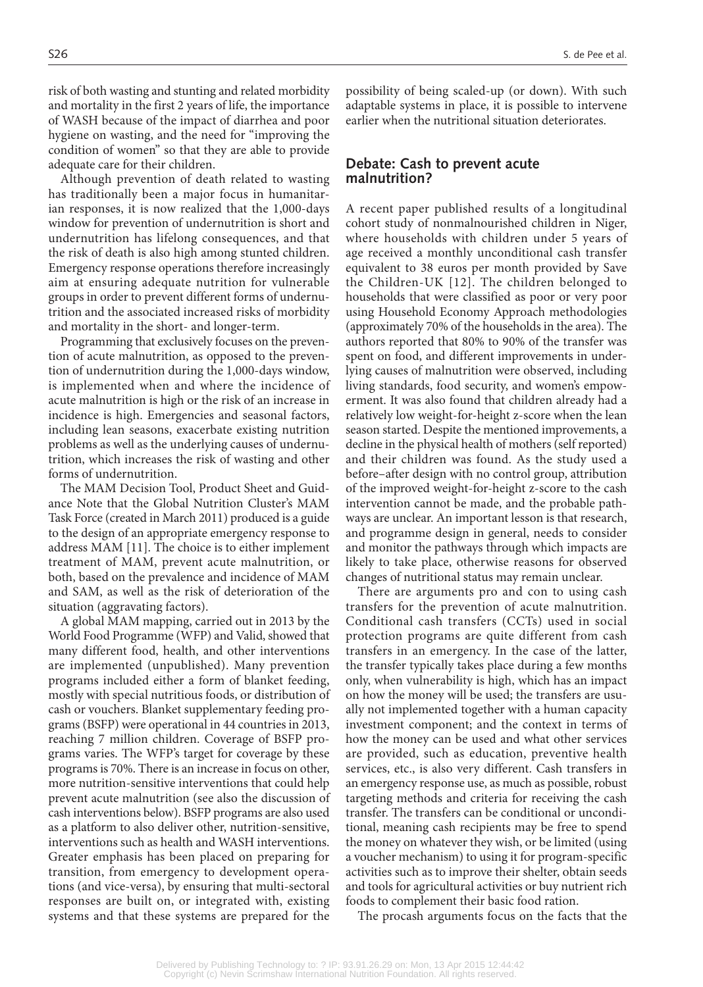risk of both wasting and stunting and related morbidity and mortality in the first 2 years of life, the importance of WASH because of the impact of diarrhea and poor hygiene on wasting, and the need for "improving the condition of women" so that they are able to provide adequate care for their children.

Although prevention of death related to wasting has traditionally been a major focus in humanitarian responses, it is now realized that the 1,000-days window for prevention of undernutrition is short and undernutrition has lifelong consequences, and that the risk of death is also high among stunted children. Emergency response operations therefore increasingly aim at ensuring adequate nutrition for vulnerable groups in order to prevent different forms of undernutrition and the associated increased risks of morbidity and mortality in the short- and longer-term.

Programming that exclusively focuses on the prevention of acute malnutrition, as opposed to the prevention of undernutrition during the 1,000-days window, is implemented when and where the incidence of acute malnutrition is high or the risk of an increase in incidence is high. Emergencies and seasonal factors, including lean seasons, exacerbate existing nutrition problems as well as the underlying causes of undernutrition, which increases the risk of wasting and other forms of undernutrition.

The MAM Decision Tool, Product Sheet and Guidance Note that the Global Nutrition Cluster's MAM Task Force (created in March 2011) produced is a guide to the design of an appropriate emergency response to address MAM [11]. The choice is to either implement treatment of MAM, prevent acute malnutrition, or both, based on the prevalence and incidence of MAM and SAM, as well as the risk of deterioration of the situation (aggravating factors).

A global MAM mapping, carried out in 2013 by the World Food Programme (WFP) and Valid, showed that many different food, health, and other interventions are implemented (unpublished). Many prevention programs included either a form of blanket feeding, mostly with special nutritious foods, or distribution of cash or vouchers. Blanket supplementary feeding programs (BSFP) were operational in 44 countries in 2013, reaching 7 million children. Coverage of BSFP programs varies. The WFP's target for coverage by these programs is 70%. There is an increase in focus on other, more nutrition-sensitive interventions that could help prevent acute malnutrition (see also the discussion of cash interventions below). BSFP programs are also used as a platform to also deliver other, nutrition-sensitive, interventions such as health and WASH interventions. Greater emphasis has been placed on preparing for transition, from emergency to development operations (and vice-versa), by ensuring that multi-sectoral responses are built on, or integrated with, existing systems and that these systems are prepared for the

possibility of being scaled-up (or down). With such adaptable systems in place, it is possible to intervene earlier when the nutritional situation deteriorates.

### **Debate: Cash to prevent acute malnutrition?**

A recent paper published results of a longitudinal cohort study of nonmalnourished children in Niger, where households with children under 5 years of age received a monthly unconditional cash transfer equivalent to 38 euros per month provided by Save the Children-UK [12]. The children belonged to households that were classified as poor or very poor using Household Economy Approach methodologies (approximately 70% of the households in the area). The authors reported that 80% to 90% of the transfer was spent on food, and different improvements in underlying causes of malnutrition were observed, including living standards, food security, and women's empowerment. It was also found that children already had a relatively low weight-for-height z-score when the lean season started. Despite the mentioned improvements, a decline in the physical health of mothers (self reported) and their children was found. As the study used a before–after design with no control group, attribution of the improved weight-for-height z-score to the cash intervention cannot be made, and the probable pathways are unclear. An important lesson is that research, and programme design in general, needs to consider and monitor the pathways through which impacts are likely to take place, otherwise reasons for observed changes of nutritional status may remain unclear.

There are arguments pro and con to using cash transfers for the prevention of acute malnutrition. Conditional cash transfers (CCTs) used in social protection programs are quite different from cash transfers in an emergency. In the case of the latter, the transfer typically takes place during a few months only, when vulnerability is high, which has an impact on how the money will be used; the transfers are usually not implemented together with a human capacity investment component; and the context in terms of how the money can be used and what other services are provided, such as education, preventive health services, etc., is also very different. Cash transfers in an emergency response use, as much as possible, robust targeting methods and criteria for receiving the cash transfer. The transfers can be conditional or unconditional, meaning cash recipients may be free to spend the money on whatever they wish, or be limited (using a voucher mechanism) to using it for program-specific activities such as to improve their shelter, obtain seeds and tools for agricultural activities or buy nutrient rich foods to complement their basic food ration.

The procash arguments focus on the facts that the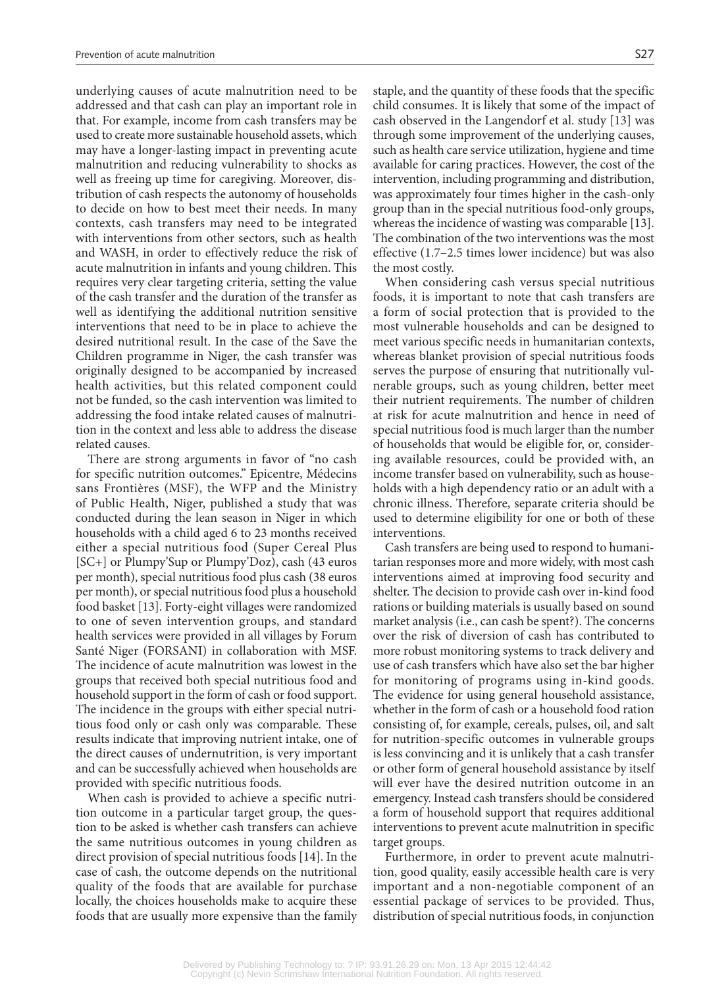underlying causes of acute malnutrition need to be addressed and that cash can play an important role in that. For example, income from cash transfers may be used to create more sustainable household assets, which may have a longer-lasting impact in preventing acute malnutrition and reducing vulnerability to shocks as well as freeing up time for caregiving. Moreover, distribution of cash respects the autonomy of households to decide on how to best meet their needs. In many contexts, cash transfers may need to be integrated with interventions from other sectors, such as health and WASH, in order to effectively reduce the risk of acute malnutrition in infants and young children. This requires very clear targeting criteria, setting the value of the cash transfer and the duration of the transfer as well as identifying the additional nutrition sensitive interventions that need to be in place to achieve the desired nutritional result. In the case of the Save the Children programme in Niger, the cash transfer was originally designed to be accompanied by increased health activities, but this related component could not be funded, so the cash intervention was limited to addressing the food intake related causes of malnutrition in the context and less able to address the disease related causes.

There are strong arguments in favor of "no cash for specific nutrition outcomes." Epicentre, Médecins sans Frontières (MSF), the WFP and the Ministry of Public Health, Niger, published a study that was conducted during the lean season in Niger in which households with a child aged 6 to 23 months received either a special nutritious food (Super Cereal Plus [SC+] or Plumpy'Sup or Plumpy'Doz), cash (43 euros per month), special nutritious food plus cash (38 euros per month), or special nutritious food plus a household food basket [13]. Forty-eight villages were randomized to one of seven intervention groups, and standard health services were provided in all villages by Forum Santé Niger (FORSANI) in collaboration with MSF. The incidence of acute malnutrition was lowest in the groups that received both special nutritious food and household support in the form of cash or food support. The incidence in the groups with either special nutritious food only or cash only was comparable. These results indicate that improving nutrient intake, one of the direct causes of undernutrition, is very important and can be successfully achieved when households are provided with specific nutritious foods.

When cash is provided to achieve a specific nutrition outcome in a particular target group, the question to be asked is whether cash transfers can achieve the same nutritious outcomes in young children as direct provision of special nutritious foods [14]. In the case of cash, the outcome depends on the nutritional quality of the foods that are available for purchase locally, the choices households make to acquire these foods that are usually more expensive than the family

staple, and the quantity of these foods that the specific child consumes. It is likely that some of the impact of cash observed in the Langendorf et al. study [13] was through some improvement of the underlying causes, such as health care service utilization, hygiene and time available for caring practices. However, the cost of the intervention, including programming and distribution, was approximately four times higher in the cash-only group than in the special nutritious food-only groups, whereas the incidence of wasting was comparable [13]. The combination of the two interventions was the most effective (1.7–2.5 times lower incidence) but was also the most costly.

When considering cash versus special nutritious foods, it is important to note that cash transfers are a form of social protection that is provided to the most vulnerable households and can be designed to meet various specific needs in humanitarian contexts, whereas blanket provision of special nutritious foods serves the purpose of ensuring that nutritionally vulnerable groups, such as young children, better meet their nutrient requirements. The number of children at risk for acute malnutrition and hence in need of special nutritious food is much larger than the number of households that would be eligible for, or, considering available resources, could be provided with, an income transfer based on vulnerability, such as households with a high dependency ratio or an adult with a chronic illness. Therefore, separate criteria should be used to determine eligibility for one or both of these interventions.

Cash transfers are being used to respond to humanitarian responses more and more widely, with most cash interventions aimed at improving food security and shelter. The decision to provide cash over in-kind food rations or building materials is usually based on sound market analysis (i.e., can cash be spent?). The concerns over the risk of diversion of cash has contributed to more robust monitoring systems to track delivery and use of cash transfers which have also set the bar higher for monitoring of programs using in-kind goods. The evidence for using general household assistance, whether in the form of cash or a household food ration consisting of, for example, cereals, pulses, oil, and salt for nutrition-specific outcomes in vulnerable groups is less convincing and it is unlikely that a cash transfer or other form of general household assistance by itself will ever have the desired nutrition outcome in an emergency. Instead cash transfers should be considered a form of household support that requires additional interventions to prevent acute malnutrition in specific target groups.

Furthermore, in order to prevent acute malnutrition, good quality, easily accessible health care is very important and a non-negotiable component of an essential package of services to be provided. Thus, distribution of special nutritious foods, in conjunction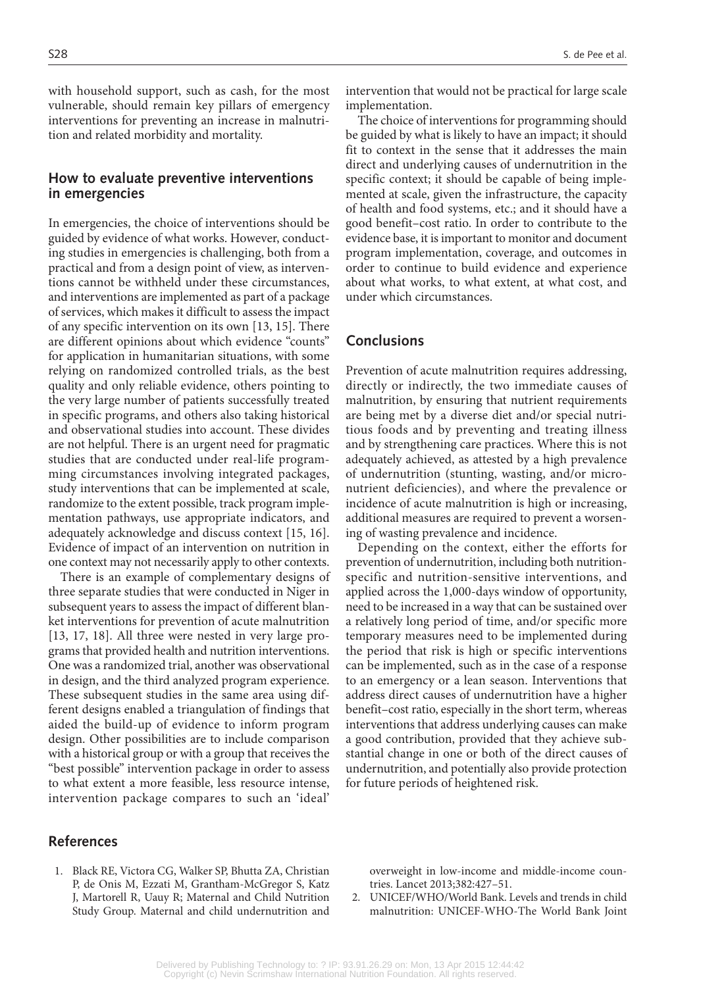with household support, such as cash, for the most vulnerable, should remain key pillars of emergency interventions for preventing an increase in malnutrition and related morbidity and mortality.

## **How to evaluate preventive interventions in emergencies**

In emergencies, the choice of interventions should be guided by evidence of what works. However, conducting studies in emergencies is challenging, both from a practical and from a design point of view, as interventions cannot be withheld under these circumstances, and interventions are implemented as part of a package of services, which makes it difficult to assess the impact of any specific intervention on its own [13, 15]. There are different opinions about which evidence "counts" for application in humanitarian situations, with some relying on randomized controlled trials, as the best quality and only reliable evidence, others pointing to the very large number of patients successfully treated in specific programs, and others also taking historical and observational studies into account. These divides are not helpful. There is an urgent need for pragmatic studies that are conducted under real-life programming circumstances involving integrated packages, study interventions that can be implemented at scale, randomize to the extent possible, track program implementation pathways, use appropriate indicators, and adequately acknowledge and discuss context [15, 16]. Evidence of impact of an intervention on nutrition in one context may not necessarily apply to other contexts.

There is an example of complementary designs of three separate studies that were conducted in Niger in subsequent years to assess the impact of different blanket interventions for prevention of acute malnutrition [13, 17, 18]. All three were nested in very large programs that provided health and nutrition interventions. One was a randomized trial, another was observational in design, and the third analyzed program experience. These subsequent studies in the same area using different designs enabled a triangulation of findings that aided the build-up of evidence to inform program design. Other possibilities are to include comparison with a historical group or with a group that receives the "best possible" intervention package in order to assess to what extent a more feasible, less resource intense, intervention package compares to such an 'ideal'

### **References**

1. Black RE, Victora CG, Walker SP, Bhutta ZA, Christian P, de Onis M, Ezzati M, Grantham-McGregor S, Katz J, Martorell R, Uauy R; Maternal and Child Nutrition Study Group. Maternal and child undernutrition and intervention that would not be practical for large scale implementation.

The choice of interventions for programming should be guided by what is likely to have an impact; it should fit to context in the sense that it addresses the main direct and underlying causes of undernutrition in the specific context; it should be capable of being implemented at scale, given the infrastructure, the capacity of health and food systems, etc.; and it should have a good benefit–cost ratio. In order to contribute to the evidence base, it is important to monitor and document program implementation, coverage, and outcomes in order to continue to build evidence and experience about what works, to what extent, at what cost, and under which circumstances.

## **Conclusions**

Prevention of acute malnutrition requires addressing, directly or indirectly, the two immediate causes of malnutrition, by ensuring that nutrient requirements are being met by a diverse diet and/or special nutritious foods and by preventing and treating illness and by strengthening care practices. Where this is not adequately achieved, as attested by a high prevalence of undernutrition (stunting, wasting, and/or micronutrient deficiencies), and where the prevalence or incidence of acute malnutrition is high or increasing, additional measures are required to prevent a worsening of wasting prevalence and incidence.

Depending on the context, either the efforts for prevention of undernutrition, including both nutritionspecific and nutrition-sensitive interventions, and applied across the 1,000-days window of opportunity, need to be increased in a way that can be sustained over a relatively long period of time, and/or specific more temporary measures need to be implemented during the period that risk is high or specific interventions can be implemented, such as in the case of a response to an emergency or a lean season. Interventions that address direct causes of undernutrition have a higher benefit–cost ratio, especially in the short term, whereas interventions that address underlying causes can make a good contribution, provided that they achieve substantial change in one or both of the direct causes of undernutrition, and potentially also provide protection for future periods of heightened risk.

overweight in low-income and middle-income countries. Lancet 2013;382:427–51.

2. UNICEF/WHO/World Bank. Levels and trends in child malnutrition: UNICEF-WHO-The World Bank Joint